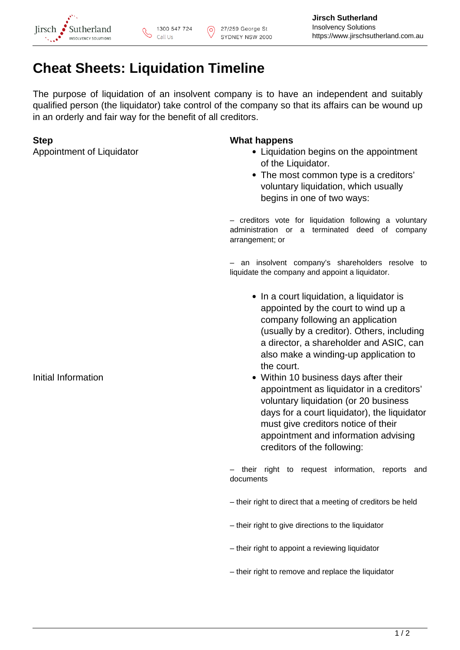

# **Cheat Sheets: Liquidation Timeline**

The purpose of liquidation of an insolvent company is to have an independent and suitably qualified person (the liquidator) take control of the company so that its affairs can be wound up in an orderly and fair way for the benefit of all creditors.

## **Step What happens**

- Appointment of Liquidator **Liquidator** Liquidation begins on the appointment of the Liquidator.
	- The most common type is a creditors' voluntary liquidation, which usually begins in one of two ways:

– creditors vote for liquidation following a voluntary administration or a terminated deed of company arrangement; or

– an insolvent company's shareholders resolve to liquidate the company and appoint a liquidator.

- In a court liquidation, a liquidator is appointed by the court to wind up a company following an application (usually by a creditor). Others, including a director, a shareholder and ASIC, can also make a winding-up application to the court.
- Initial Information **Initial Information** Within 10 business days after their appointment as liquidator in a creditors' voluntary liquidation (or 20 business days for a court liquidator), the liquidator must give creditors notice of their appointment and information advising creditors of the following:

– their right to request information, reports and documents

- their right to direct that a meeting of creditors be held
- their right to give directions to the liquidator
- their right to appoint a reviewing liquidator
- their right to remove and replace the liquidator